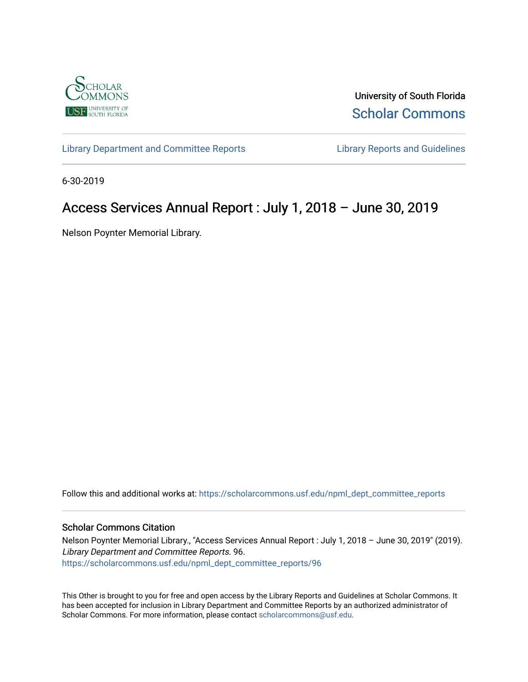

University of South Florida [Scholar Commons](https://scholarcommons.usf.edu/) 

[Library Department and Committee Reports](https://scholarcommons.usf.edu/npml_dept_committee_reports) **Library Reports and Guidelines** 

6-30-2019

# Access Services Annual Report : July 1, 2018 – June 30, 2019

Nelson Poynter Memorial Library.

Follow this and additional works at: [https://scholarcommons.usf.edu/npml\\_dept\\_committee\\_reports](https://scholarcommons.usf.edu/npml_dept_committee_reports?utm_source=scholarcommons.usf.edu%2Fnpml_dept_committee_reports%2F96&utm_medium=PDF&utm_campaign=PDFCoverPages)

#### Scholar Commons Citation

Nelson Poynter Memorial Library., "Access Services Annual Report : July 1, 2018 – June 30, 2019" (2019). Library Department and Committee Reports. 96. [https://scholarcommons.usf.edu/npml\\_dept\\_committee\\_reports/96](https://scholarcommons.usf.edu/npml_dept_committee_reports/96?utm_source=scholarcommons.usf.edu%2Fnpml_dept_committee_reports%2F96&utm_medium=PDF&utm_campaign=PDFCoverPages) 

This Other is brought to you for free and open access by the Library Reports and Guidelines at Scholar Commons. It has been accepted for inclusion in Library Department and Committee Reports by an authorized administrator of Scholar Commons. For more information, please contact [scholarcommons@usf.edu](mailto:scholarcommons@usf.edu).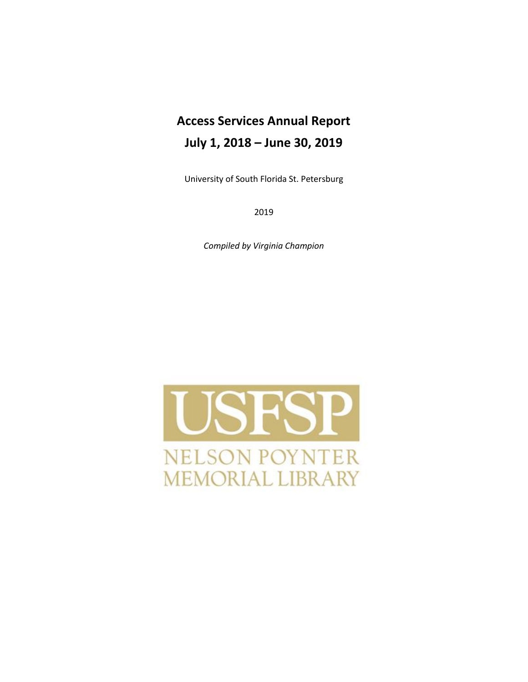# **Access Services Annual Report July 1, 2018 – June 30, 2019**

University of South Florida St. Petersburg

2019

*Compiled by Virginia Champion*

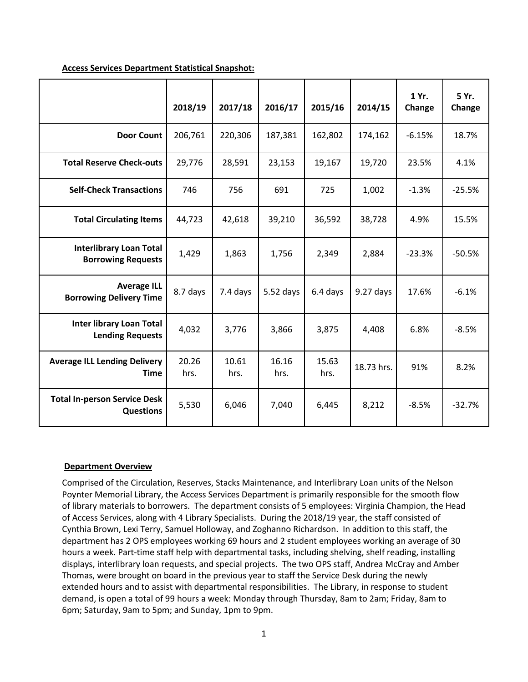|                                                             | 2018/19       | 2017/18       | 2016/17       | 2015/16       | 2014/15     | 1 Yr.<br>Change | 5 Yr.<br>Change |
|-------------------------------------------------------------|---------------|---------------|---------------|---------------|-------------|-----------------|-----------------|
| <b>Door Count</b>                                           | 206,761       | 220,306       | 187,381       | 162,802       | 174,162     | $-6.15%$        | 18.7%           |
| <b>Total Reserve Check-outs</b>                             | 29,776        | 28,591        | 23,153        | 19,167        | 19,720      | 23.5%           | 4.1%            |
| <b>Self-Check Transactions</b>                              | 746           | 756           | 691           | 725           | 1,002       | $-1.3%$         | $-25.5%$        |
| <b>Total Circulating Items</b>                              | 44,723        | 42,618        | 39,210        | 36,592        | 38,728      | 4.9%            | 15.5%           |
| <b>Interlibrary Loan Total</b><br><b>Borrowing Requests</b> | 1,429         | 1,863         | 1,756         | 2,349         | 2,884       | $-23.3%$        | $-50.5%$        |
| <b>Average ILL</b><br><b>Borrowing Delivery Time</b>        | 8.7 days      | 7.4 days      | $5.52$ days   | 6.4 days      | $9.27$ days | 17.6%           | $-6.1%$         |
| <b>Inter library Loan Total</b><br><b>Lending Requests</b>  | 4,032         | 3,776         | 3,866         | 3,875         | 4,408       | 6.8%            | $-8.5%$         |
| <b>Average ILL Lending Delivery</b><br><b>Time</b>          | 20.26<br>hrs. | 10.61<br>hrs. | 16.16<br>hrs. | 15.63<br>hrs. | 18.73 hrs.  | 91%             | 8.2%            |
| <b>Total In-person Service Desk</b><br><b>Questions</b>     | 5,530         | 6,046         | 7,040         | 6,445         | 8,212       | $-8.5%$         | $-32.7%$        |

#### **Access Services Department Statistical Snapshot:**

#### **Department Overview**

Comprised of the Circulation, Reserves, Stacks Maintenance, and Interlibrary Loan units of the Nelson Poynter Memorial Library, the Access Services Department is primarily responsible for the smooth flow of library materials to borrowers. The department consists of 5 employees: Virginia Champion, the Head of Access Services, along with 4 Library Specialists. During the 2018/19 year, the staff consisted of Cynthia Brown, Lexi Terry, Samuel Holloway, and Zoghanno Richardson. In addition to this staff, the department has 2 OPS employees working 69 hours and 2 student employees working an average of 30 hours a week. Part-time staff help with departmental tasks, including shelving, shelf reading, installing displays, interlibrary loan requests, and special projects. The two OPS staff, Andrea McCray and Amber Thomas, were brought on board in the previous year to staff the Service Desk during the newly extended hours and to assist with departmental responsibilities. The Library, in response to student demand, is open a total of 99 hours a week: Monday through Thursday, 8am to 2am; Friday, 8am to 6pm; Saturday, 9am to 5pm; and Sunday, 1pm to 9pm.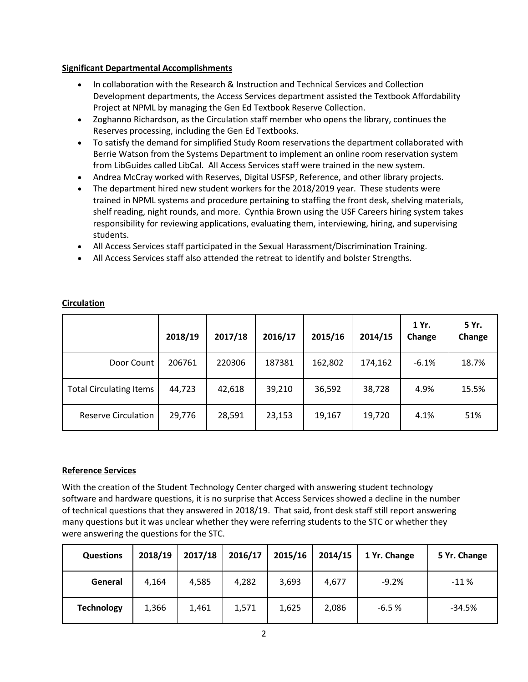#### **Significant Departmental Accomplishments**

- In collaboration with the Research & Instruction and Technical Services and Collection Development departments, the Access Services department assisted the Textbook Affordability Project at NPML by managing the Gen Ed Textbook Reserve Collection.
- Zoghanno Richardson, as the Circulation staff member who opens the library, continues the Reserves processing, including the Gen Ed Textbooks.
- To satisfy the demand for simplified Study Room reservations the department collaborated with Berrie Watson from the Systems Department to implement an online room reservation system from LibGuides called LibCal. All Access Services staff were trained in the new system.
- Andrea McCray worked with Reserves, Digital USFSP, Reference, and other library projects.
- The department hired new student workers for the 2018/2019 year. These students were trained in NPML systems and procedure pertaining to staffing the front desk, shelving materials, shelf reading, night rounds, and more. Cynthia Brown using the USF Careers hiring system takes responsibility for reviewing applications, evaluating them, interviewing, hiring, and supervising students.
- All Access Services staff participated in the Sexual Harassment/Discrimination Training.
- All Access Services staff also attended the retreat to identify and bolster Strengths.

|                                | 2018/19 | 2017/18 | 2016/17 | 2015/16 | 2014/15 | 1 Yr.<br>Change | 5 Yr.<br>Change |
|--------------------------------|---------|---------|---------|---------|---------|-----------------|-----------------|
| Door Count                     | 206761  | 220306  | 187381  | 162,802 | 174,162 | $-6.1%$         | 18.7%           |
| <b>Total Circulating Items</b> | 44,723  | 42,618  | 39,210  | 36,592  | 38,728  | 4.9%            | 15.5%           |
| <b>Reserve Circulation</b>     | 29,776  | 28,591  | 23,153  | 19,167  | 19,720  | 4.1%            | 51%             |

## **Circulation**

## **Reference Services**

With the creation of the Student Technology Center charged with answering student technology software and hardware questions, it is no surprise that Access Services showed a decline in the number of technical questions that they answered in 2018/19. That said, front desk staff still report answering many questions but it was unclear whether they were referring students to the STC or whether they were answering the questions for the STC.

| <b>Questions</b>  | 2018/19 | 2017/18 | 2016/17 | 2015/16 | 2014/15 | 1 Yr. Change | 5 Yr. Change |
|-------------------|---------|---------|---------|---------|---------|--------------|--------------|
| General           | 4,164   | 4,585   | 4,282   | 3,693   | 4,677   | $-9.2%$      | $-11%$       |
| <b>Technology</b> | 1,366   | 1,461   | 1,571   | 1,625   | 2,086   | $-6.5%$      | $-34.5%$     |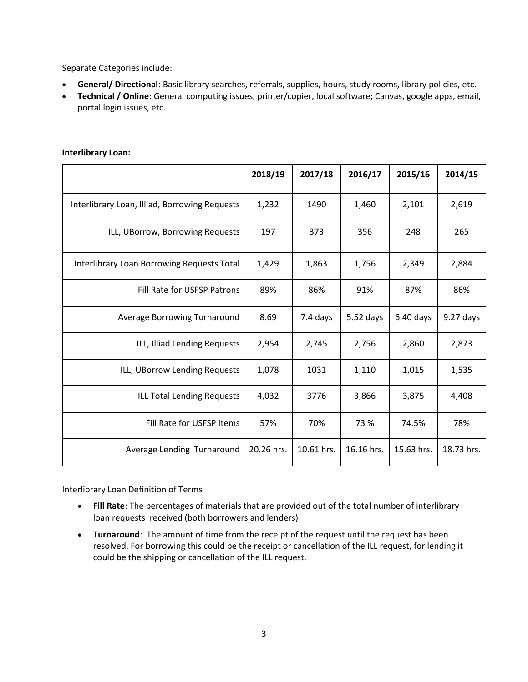Separate Categories include:

- **General/ Directional**: Basic library searches, referrals, supplies, hours, study rooms, library policies, etc.
- **Technical / Online:** General computing issues, printer/copier, local software; Canvas, google apps, email, portal login issues, etc.

|                                               | 2018/19    | 2017/18    | 2016/17     | 2015/16     | 2014/15    |
|-----------------------------------------------|------------|------------|-------------|-------------|------------|
| Interlibrary Loan, Illiad, Borrowing Requests | 1,232      | 1490       | 1,460       | 2,101       | 2,619      |
| ILL, UBorrow, Borrowing Requests              | 197        | 373        | 356         | 248         | 265        |
| Interlibrary Loan Borrowing Requests Total    | 1,429      | 1,863      | 1,756       | 2,349       | 2,884      |
| Fill Rate for USFSP Patrons                   | 89%        | 86%        | 91%         | 87%         | 86%        |
| Average Borrowing Turnaround                  | 8.69       | 7.4 days   | $5.52$ days | $6.40$ days | 9.27 days  |
| ILL, Illiad Lending Requests                  | 2,954      | 2,745      | 2,756       | 2,860       | 2,873      |
| ILL, UBorrow Lending Requests                 | 1,078      | 1031       | 1,110       | 1,015       | 1,535      |
| <b>ILL Total Lending Requests</b>             | 4,032      | 3776       | 3,866       | 3,875       | 4,408      |
| Fill Rate for USFSP Items                     | 57%        | 70%        | 73 %        | 74.5%       | 78%        |
| Average Lending Turnaround                    | 20.26 hrs. | 10.61 hrs. | 16.16 hrs.  | 15.63 hrs.  | 18.73 hrs. |

#### **Interlibrary Loan:**

Interlibrary Loan Definition of Terms

- **Fill Rate**: The percentages of materials that are provided out of the total number of interlibrary loan requests received (both borrowers and lenders)
- **Turnaround**: The amount of time from the receipt of the request until the request has been resolved. For borrowing this could be the receipt or cancellation of the ILL request, for lending it could be the shipping or cancellation of the ILL request.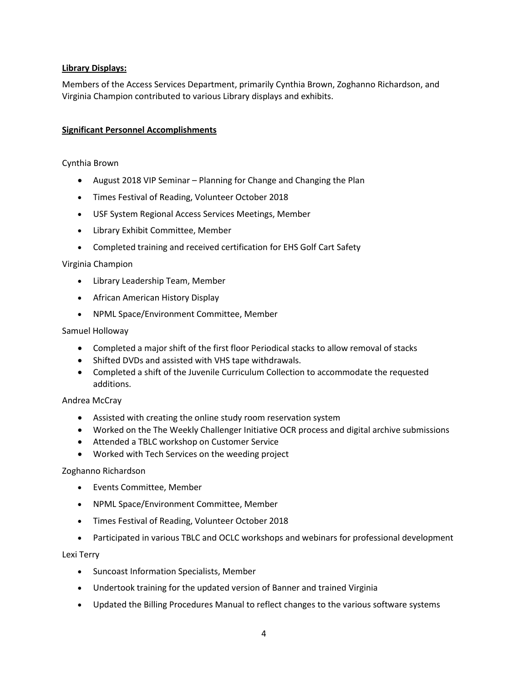#### **Library Displays:**

Members of the Access Services Department, primarily Cynthia Brown, Zoghanno Richardson, and Virginia Champion contributed to various Library displays and exhibits.

#### **Significant Personnel Accomplishments**

#### Cynthia Brown

- August 2018 VIP Seminar Planning for Change and Changing the Plan
- Times Festival of Reading, Volunteer October 2018
- USF System Regional Access Services Meetings, Member
- Library Exhibit Committee, Member
- Completed training and received certification for EHS Golf Cart Safety

#### Virginia Champion

- Library Leadership Team, Member
- African American History Display
- NPML Space/Environment Committee, Member

#### Samuel Holloway

- Completed a major shift of the first floor Periodical stacks to allow removal of stacks
- Shifted DVDs and assisted with VHS tape withdrawals.
- Completed a shift of the Juvenile Curriculum Collection to accommodate the requested additions.

#### Andrea McCray

- Assisted with creating the online study room reservation system
- Worked on the The Weekly Challenger Initiative OCR process and digital archive submissions
- Attended a TBLC workshop on Customer Service
- Worked with Tech Services on the weeding project

#### Zoghanno Richardson

- Events Committee, Member
- NPML Space/Environment Committee, Member
- Times Festival of Reading, Volunteer October 2018
- Participated in various TBLC and OCLC workshops and webinars for professional development

#### Lexi Terry

- Suncoast Information Specialists, Member
- Undertook training for the updated version of Banner and trained Virginia
- Updated the Billing Procedures Manual to reflect changes to the various software systems